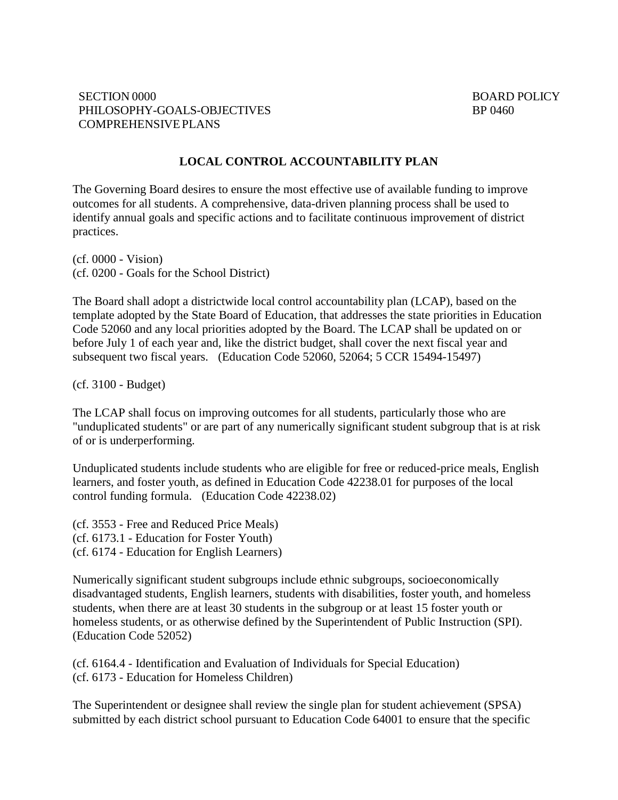#### **LOCAL CONTROL ACCOUNTABILITY PLAN**

The Governing Board desires to ensure the most effective use of available funding to improve outcomes for all students. A comprehensive, data-driven planning process shall be used to identify annual goals and specific actions and to facilitate continuous improvement of district practices.

(cf. 0000 - Vision) (cf. 0200 - Goals for the School District)

The Board shall adopt a districtwide local control accountability plan (LCAP), based on the template adopted by the State Board of Education, that addresses the state priorities in Education Code 52060 and any local priorities adopted by the Board. The LCAP shall be updated on or before July 1 of each year and, like the district budget, shall cover the next fiscal year and subsequent two fiscal years. (Education Code 52060, 52064; 5 CCR 15494-15497)

(cf. 3100 - Budget)

The LCAP shall focus on improving outcomes for all students, particularly those who are "unduplicated students" or are part of any numerically significant student subgroup that is at risk of or is underperforming.

Unduplicated students include students who are eligible for free or reduced-price meals, English learners, and foster youth, as defined in Education Code 42238.01 for purposes of the local control funding formula. (Education Code 42238.02)

(cf. 3553 - Free and Reduced Price Meals) (cf. 6173.1 - Education for Foster Youth) (cf. 6174 - Education for English Learners)

Numerically significant student subgroups include ethnic subgroups, socioeconomically disadvantaged students, English learners, students with disabilities, foster youth, and homeless students, when there are at least 30 students in the subgroup or at least 15 foster youth or homeless students, or as otherwise defined by the Superintendent of Public Instruction (SPI). (Education Code 52052)

(cf. 6164.4 - Identification and Evaluation of Individuals for Special Education) (cf. 6173 - Education for Homeless Children)

The Superintendent or designee shall review the single plan for student achievement (SPSA) submitted by each district school pursuant to Education Code 64001 to ensure that the specific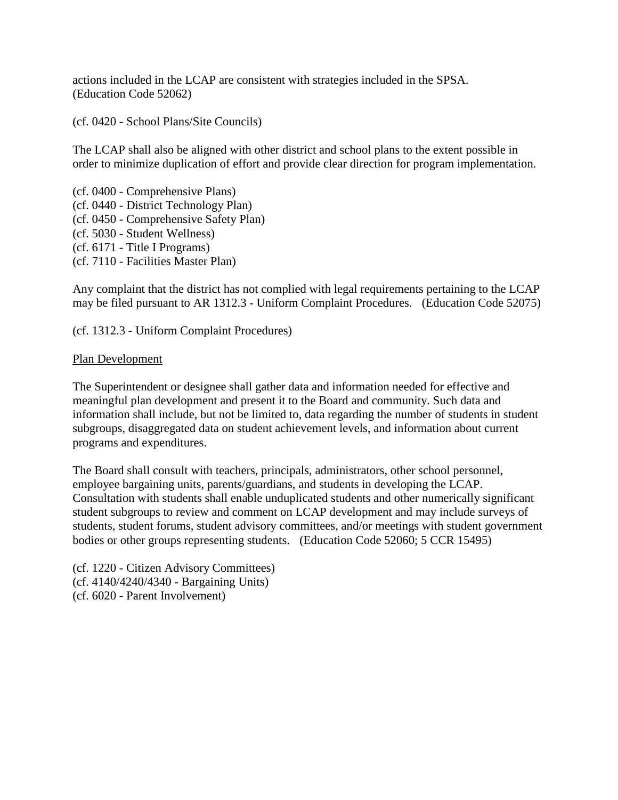actions included in the LCAP are consistent with strategies included in the SPSA. (Education Code 52062)

(cf. 0420 - School Plans/Site Councils)

The LCAP shall also be aligned with other district and school plans to the extent possible in order to minimize duplication of effort and provide clear direction for program implementation.

(cf. 0400 - Comprehensive Plans) (cf. 0440 - District Technology Plan) (cf. 0450 - Comprehensive Safety Plan) (cf. 5030 - Student Wellness) (cf. 6171 - Title I Programs) (cf. 7110 - Facilities Master Plan)

Any complaint that the district has not complied with legal requirements pertaining to the LCAP may be filed pursuant to AR 1312.3 - Uniform Complaint Procedures. (Education Code 52075)

(cf. 1312.3 - Uniform Complaint Procedures)

### Plan Development

The Superintendent or designee shall gather data and information needed for effective and meaningful plan development and present it to the Board and community. Such data and information shall include, but not be limited to, data regarding the number of students in student subgroups, disaggregated data on student achievement levels, and information about current programs and expenditures.

The Board shall consult with teachers, principals, administrators, other school personnel, employee bargaining units, parents/guardians, and students in developing the LCAP. Consultation with students shall enable unduplicated students and other numerically significant student subgroups to review and comment on LCAP development and may include surveys of students, student forums, student advisory committees, and/or meetings with student government bodies or other groups representing students. (Education Code 52060; 5 CCR 15495)

(cf. 1220 - Citizen Advisory Committees) (cf. 4140/4240/4340 - Bargaining Units) (cf. 6020 - Parent Involvement)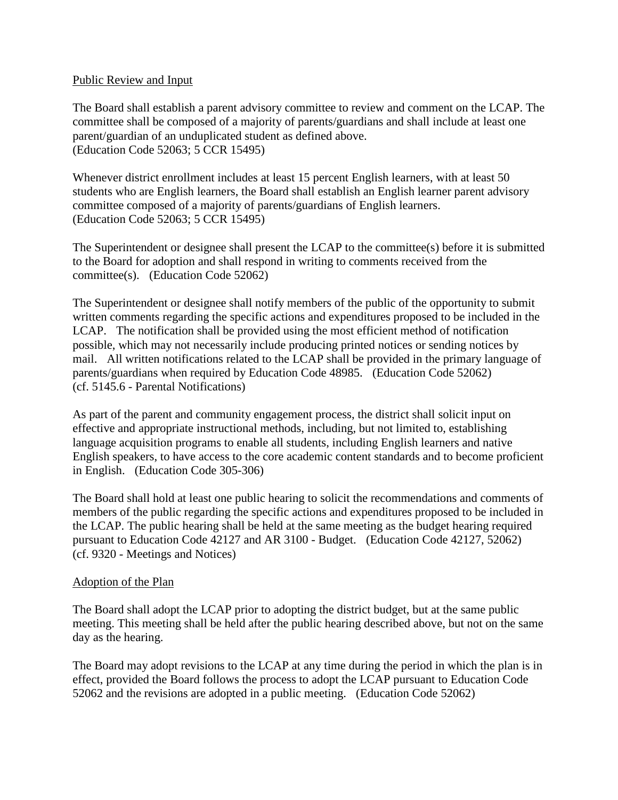### Public Review and Input

The Board shall establish a parent advisory committee to review and comment on the LCAP. The committee shall be composed of a majority of parents/guardians and shall include at least one parent/guardian of an unduplicated student as defined above. (Education Code 52063; 5 CCR 15495)

Whenever district enrollment includes at least 15 percent English learners, with at least 50 students who are English learners, the Board shall establish an English learner parent advisory committee composed of a majority of parents/guardians of English learners. (Education Code 52063; 5 CCR 15495)

The Superintendent or designee shall present the LCAP to the committee(s) before it is submitted to the Board for adoption and shall respond in writing to comments received from the committee(s). (Education Code 52062)

The Superintendent or designee shall notify members of the public of the opportunity to submit written comments regarding the specific actions and expenditures proposed to be included in the LCAP. The notification shall be provided using the most efficient method of notification possible, which may not necessarily include producing printed notices or sending notices by mail. All written notifications related to the LCAP shall be provided in the primary language of parents/guardians when required by Education Code 48985. (Education Code 52062) (cf. 5145.6 - Parental Notifications)

As part of the parent and community engagement process, the district shall solicit input on effective and appropriate instructional methods, including, but not limited to, establishing language acquisition programs to enable all students, including English learners and native English speakers, to have access to the core academic content standards and to become proficient in English. (Education Code 305-306)

The Board shall hold at least one public hearing to solicit the recommendations and comments of members of the public regarding the specific actions and expenditures proposed to be included in the LCAP. The public hearing shall be held at the same meeting as the budget hearing required pursuant to Education Code 42127 and AR 3100 - Budget. (Education Code 42127, 52062) (cf. 9320 - Meetings and Notices)

### Adoption of the Plan

The Board shall adopt the LCAP prior to adopting the district budget, but at the same public meeting. This meeting shall be held after the public hearing described above, but not on the same day as the hearing.

The Board may adopt revisions to the LCAP at any time during the period in which the plan is in effect, provided the Board follows the process to adopt the LCAP pursuant to Education Code 52062 and the revisions are adopted in a public meeting. (Education Code 52062)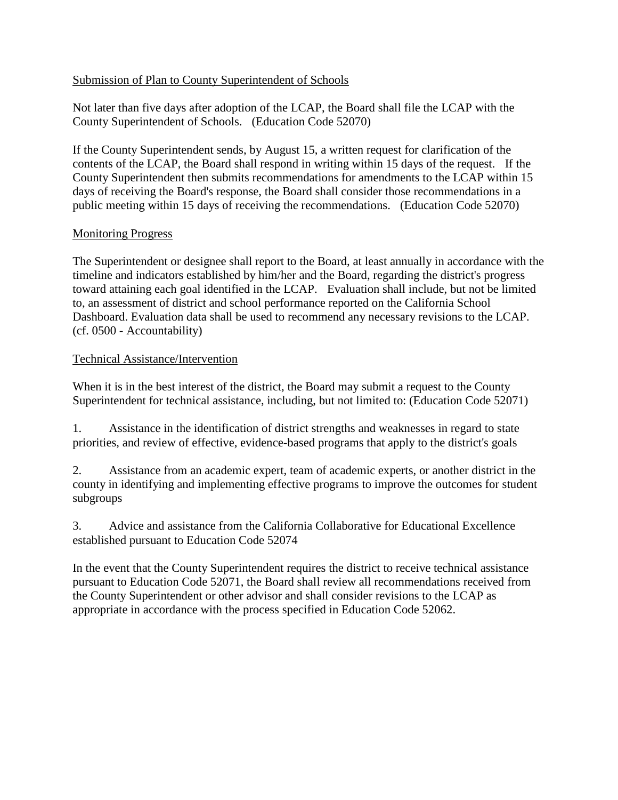# Submission of Plan to County Superintendent of Schools

Not later than five days after adoption of the LCAP, the Board shall file the LCAP with the County Superintendent of Schools. (Education Code 52070)

If the County Superintendent sends, by August 15, a written request for clarification of the contents of the LCAP, the Board shall respond in writing within 15 days of the request. If the County Superintendent then submits recommendations for amendments to the LCAP within 15 days of receiving the Board's response, the Board shall consider those recommendations in a public meeting within 15 days of receiving the recommendations. (Education Code 52070)

### Monitoring Progress

The Superintendent or designee shall report to the Board, at least annually in accordance with the timeline and indicators established by him/her and the Board, regarding the district's progress toward attaining each goal identified in the LCAP. Evaluation shall include, but not be limited to, an assessment of district and school performance reported on the California School Dashboard. Evaluation data shall be used to recommend any necessary revisions to the LCAP. (cf. 0500 - Accountability)

### Technical Assistance/Intervention

When it is in the best interest of the district, the Board may submit a request to the County Superintendent for technical assistance, including, but not limited to: (Education Code 52071)

1. Assistance in the identification of district strengths and weaknesses in regard to state priorities, and review of effective, evidence-based programs that apply to the district's goals

2. Assistance from an academic expert, team of academic experts, or another district in the county in identifying and implementing effective programs to improve the outcomes for student subgroups

3. Advice and assistance from the California Collaborative for Educational Excellence established pursuant to Education Code 52074

In the event that the County Superintendent requires the district to receive technical assistance pursuant to Education Code 52071, the Board shall review all recommendations received from the County Superintendent or other advisor and shall consider revisions to the LCAP as appropriate in accordance with the process specified in Education Code 52062.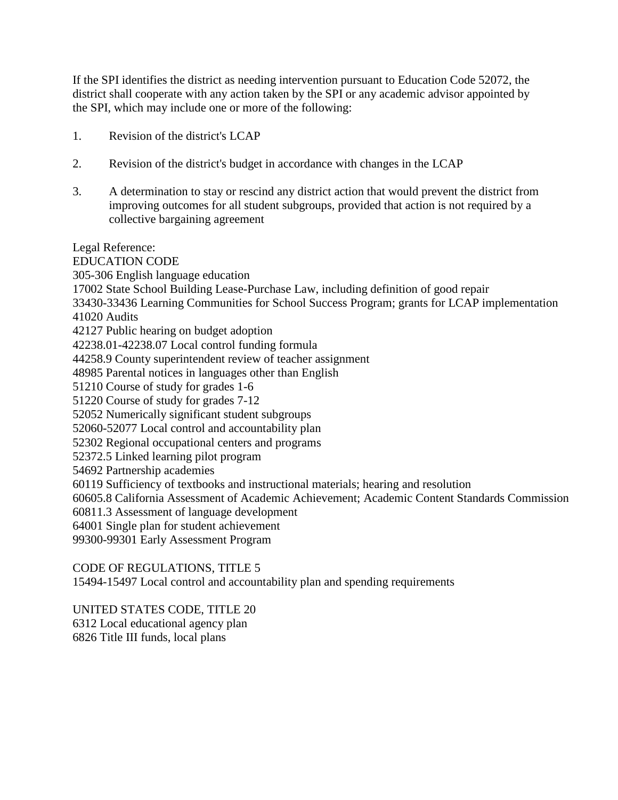If the SPI identifies the district as needing intervention pursuant to Education Code 52072, the district shall cooperate with any action taken by the SPI or any academic advisor appointed by the SPI, which may include one or more of the following:

- 1. Revision of the district's LCAP
- 2. Revision of the district's budget in accordance with changes in the LCAP
- 3. A determination to stay or rescind any district action that would prevent the district from improving outcomes for all student subgroups, provided that action is not required by a collective bargaining agreement

Legal Reference: EDUCATION CODE 305-306 English language education 17002 State School Building Lease-Purchase Law, including definition of good repair 33430-33436 Learning Communities for School Success Program; grants for LCAP implementation 41020 Audits 42127 Public hearing on budget adoption 42238.01-42238.07 Local control funding formula 44258.9 County superintendent review of teacher assignment 48985 Parental notices in languages other than English 51210 Course of study for grades 1-6 51220 Course of study for grades 7-12 52052 Numerically significant student subgroups 52060-52077 Local control and accountability plan 52302 Regional occupational centers and programs 52372.5 Linked learning pilot program 54692 Partnership academies 60119 Sufficiency of textbooks and instructional materials; hearing and resolution 60605.8 California Assessment of Academic Achievement; Academic Content Standards Commission 60811.3 Assessment of language development 64001 Single plan for student achievement

99300-99301 Early Assessment Program

# CODE OF REGULATIONS, TITLE 5

15494-15497 Local control and accountability plan and spending requirements

UNITED STATES CODE, TITLE 20

6312 Local educational agency plan

6826 Title III funds, local plans